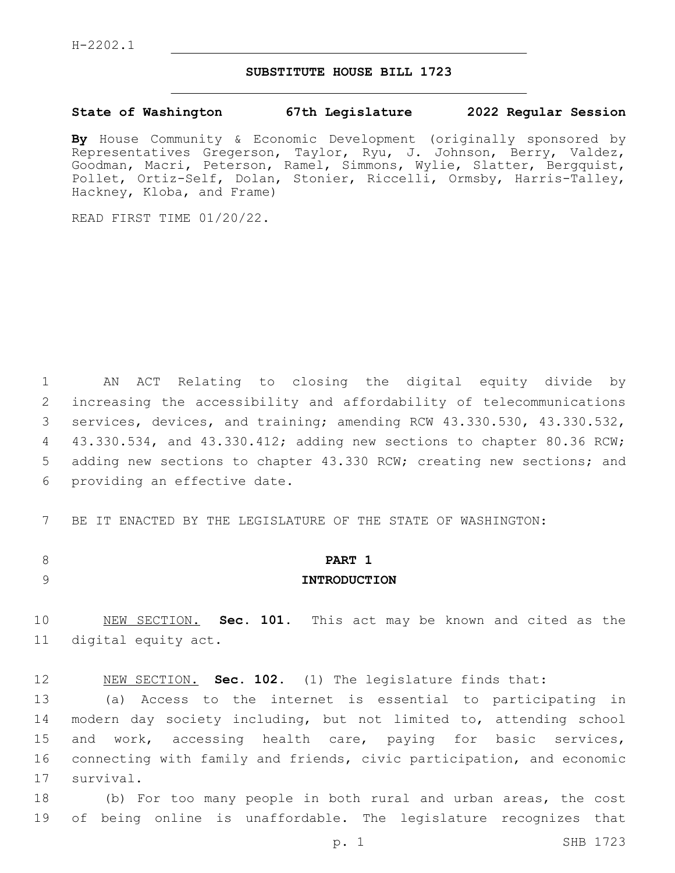## **SUBSTITUTE HOUSE BILL 1723**

### **State of Washington 67th Legislature 2022 Regular Session**

**By** House Community & Economic Development (originally sponsored by Representatives Gregerson, Taylor, Ryu, J. Johnson, Berry, Valdez, Goodman, Macri, Peterson, Ramel, Simmons, Wylie, Slatter, Bergquist, Pollet, Ortiz-Self, Dolan, Stonier, Riccelli, Ormsby, Harris-Talley, Hackney, Kloba, and Frame)

READ FIRST TIME 01/20/22.

1 AN ACT Relating to closing the digital equity divide by 2 increasing the accessibility and affordability of telecommunications 3 services, devices, and training; amending RCW 43.330.530, 43.330.532, 4 43.330.534, and 43.330.412; adding new sections to chapter 80.36 RCW; 5 adding new sections to chapter 43.330 RCW; creating new sections; and 6 providing an effective date.

7 BE IT ENACTED BY THE LEGISLATURE OF THE STATE OF WASHINGTON:

# 8 **PART 1** 9 **INTRODUCTION**

10 NEW SECTION. **Sec. 101.** This act may be known and cited as the 11 digital equity act.

12 NEW SECTION. **Sec. 102.** (1) The legislature finds that:

13 (a) Access to the internet is essential to participating in 14 modern day society including, but not limited to, attending school 15 and work, accessing health care, paying for basic services, 16 connecting with family and friends, civic participation, and economic 17 survival.

18 (b) For too many people in both rural and urban areas, the cost 19 of being online is unaffordable. The legislature recognizes that

p. 1 SHB 1723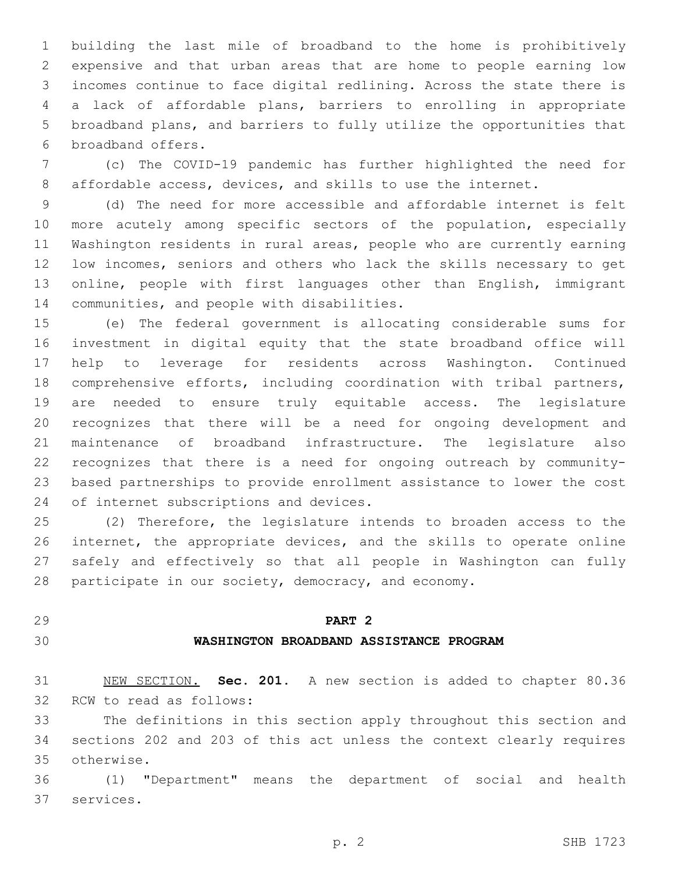building the last mile of broadband to the home is prohibitively expensive and that urban areas that are home to people earning low incomes continue to face digital redlining. Across the state there is a lack of affordable plans, barriers to enrolling in appropriate broadband plans, and barriers to fully utilize the opportunities that 6 broadband offers.

 (c) The COVID-19 pandemic has further highlighted the need for affordable access, devices, and skills to use the internet.

 (d) The need for more accessible and affordable internet is felt more acutely among specific sectors of the population, especially Washington residents in rural areas, people who are currently earning low incomes, seniors and others who lack the skills necessary to get online, people with first languages other than English, immigrant 14 communities, and people with disabilities.

 (e) The federal government is allocating considerable sums for investment in digital equity that the state broadband office will help to leverage for residents across Washington. Continued comprehensive efforts, including coordination with tribal partners, are needed to ensure truly equitable access. The legislature recognizes that there will be a need for ongoing development and maintenance of broadband infrastructure. The legislature also recognizes that there is a need for ongoing outreach by community- based partnerships to provide enrollment assistance to lower the cost 24 of internet subscriptions and devices.

 (2) Therefore, the legislature intends to broaden access to the internet, the appropriate devices, and the skills to operate online safely and effectively so that all people in Washington can fully participate in our society, democracy, and economy.

# **PART 2**

#### **WASHINGTON BROADBAND ASSISTANCE PROGRAM**

 NEW SECTION. **Sec. 201.** A new section is added to chapter 80.36 32 RCW to read as follows:

 The definitions in this section apply throughout this section and sections 202 and 203 of this act unless the context clearly requires otherwise.35

 (1) "Department" means the department of social and health 37 services.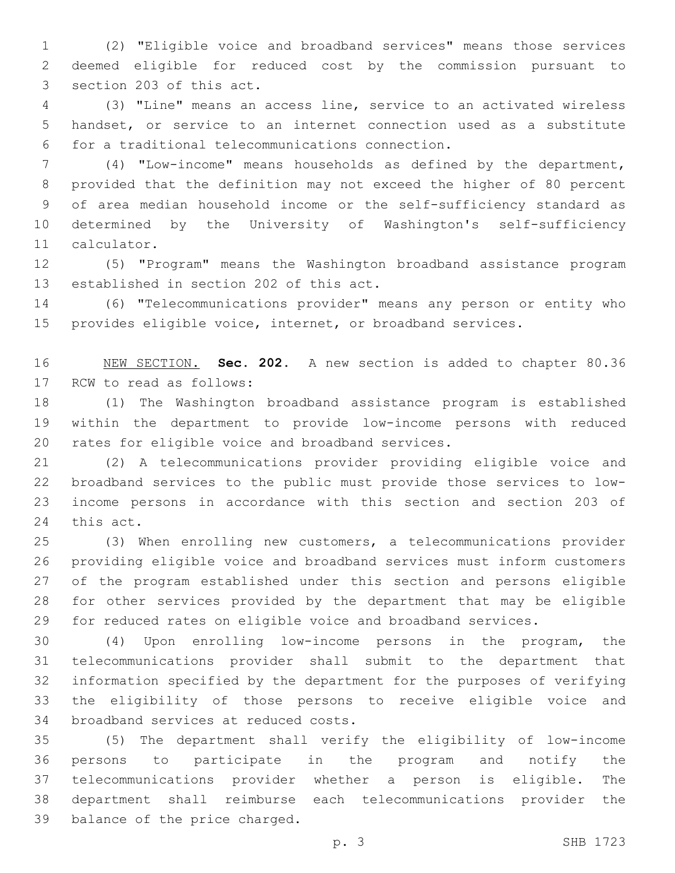(2) "Eligible voice and broadband services" means those services deemed eligible for reduced cost by the commission pursuant to 3 section 203 of this act.

 (3) "Line" means an access line, service to an activated wireless handset, or service to an internet connection used as a substitute for a traditional telecommunications connection.6

 (4) "Low-income" means households as defined by the department, provided that the definition may not exceed the higher of 80 percent of area median household income or the self-sufficiency standard as determined by the University of Washington's self-sufficiency 11 calculator.

 (5) "Program" means the Washington broadband assistance program 13 established in section 202 of this act.

 (6) "Telecommunications provider" means any person or entity who provides eligible voice, internet, or broadband services.

 NEW SECTION. **Sec. 202.** A new section is added to chapter 80.36 17 RCW to read as follows:

 (1) The Washington broadband assistance program is established within the department to provide low-income persons with reduced 20 rates for eligible voice and broadband services.

 (2) A telecommunications provider providing eligible voice and broadband services to the public must provide those services to low- income persons in accordance with this section and section 203 of 24 this act.

 (3) When enrolling new customers, a telecommunications provider providing eligible voice and broadband services must inform customers of the program established under this section and persons eligible for other services provided by the department that may be eligible for reduced rates on eligible voice and broadband services.

 (4) Upon enrolling low-income persons in the program, the telecommunications provider shall submit to the department that information specified by the department for the purposes of verifying the eligibility of those persons to receive eligible voice and 34 broadband services at reduced costs.

 (5) The department shall verify the eligibility of low-income persons to participate in the program and notify the telecommunications provider whether a person is eligible. The department shall reimburse each telecommunications provider the 39 balance of the price charged.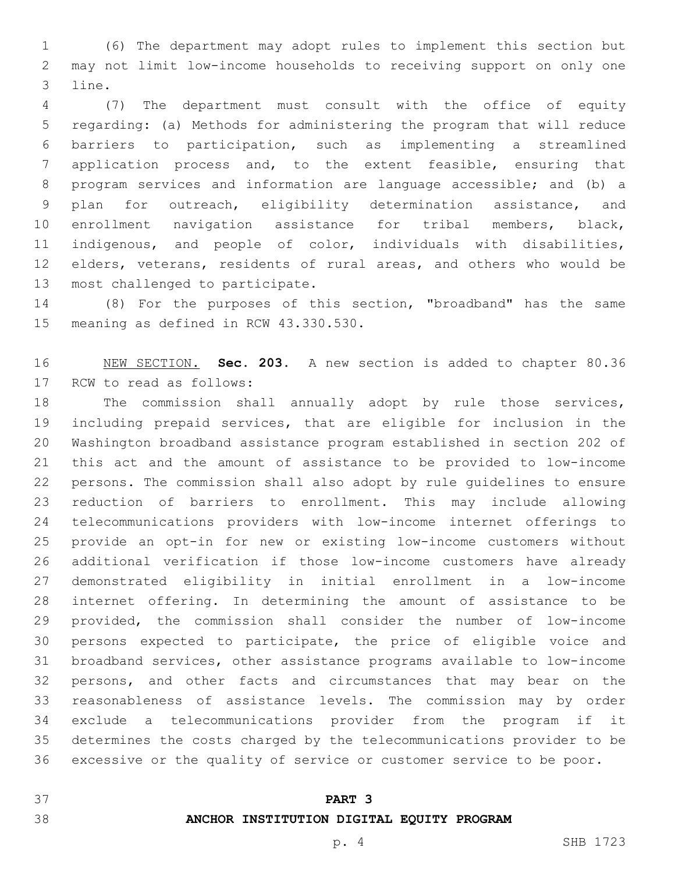(6) The department may adopt rules to implement this section but may not limit low-income households to receiving support on only one 3 line.

 (7) The department must consult with the office of equity regarding: (a) Methods for administering the program that will reduce barriers to participation, such as implementing a streamlined application process and, to the extent feasible, ensuring that program services and information are language accessible; and (b) a plan for outreach, eligibility determination assistance, and enrollment navigation assistance for tribal members, black, indigenous, and people of color, individuals with disabilities, elders, veterans, residents of rural areas, and others who would be 13 most challenged to participate.

 (8) For the purposes of this section, "broadband" has the same 15 meaning as defined in RCW 43.330.530.

 NEW SECTION. **Sec. 203.** A new section is added to chapter 80.36 17 RCW to read as follows:

 The commission shall annually adopt by rule those services, including prepaid services, that are eligible for inclusion in the Washington broadband assistance program established in section 202 of this act and the amount of assistance to be provided to low-income persons. The commission shall also adopt by rule guidelines to ensure reduction of barriers to enrollment. This may include allowing telecommunications providers with low-income internet offerings to provide an opt-in for new or existing low-income customers without additional verification if those low-income customers have already demonstrated eligibility in initial enrollment in a low-income internet offering. In determining the amount of assistance to be provided, the commission shall consider the number of low-income persons expected to participate, the price of eligible voice and broadband services, other assistance programs available to low-income persons, and other facts and circumstances that may bear on the reasonableness of assistance levels. The commission may by order exclude a telecommunications provider from the program if it determines the costs charged by the telecommunications provider to be excessive or the quality of service or customer service to be poor.

**PART 3**

# **ANCHOR INSTITUTION DIGITAL EQUITY PROGRAM**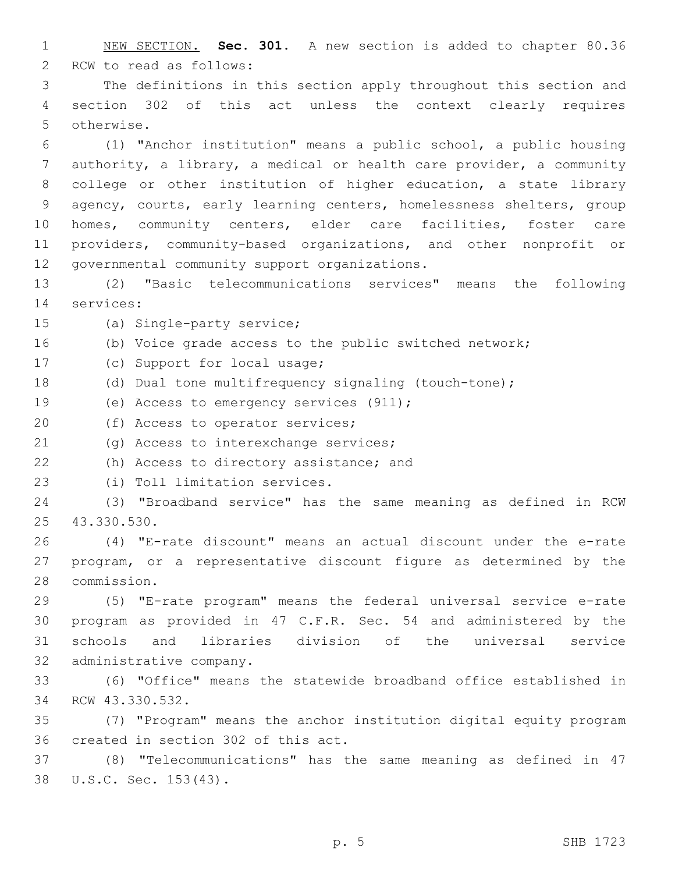1 NEW SECTION. **Sec. 301.** A new section is added to chapter 80.36 2 RCW to read as follows: 3 The definitions in this section apply throughout this section and 4 section 302 of this act unless the context clearly requires 5 otherwise. 6 (1) "Anchor institution" means a public school, a public housing 7 authority, a library, a medical or health care provider, a community 8 college or other institution of higher education, a state library 9 agency, courts, early learning centers, homelessness shelters, group 10 homes, community centers, elder care facilities, foster care 11 providers, community-based organizations, and other nonprofit or 12 governmental community support organizations. 13 (2) "Basic telecommunications services" means the following 14 services: 15 (a) Single-party service; 16 (b) Voice grade access to the public switched network; 17 (c) Support for local usage; 18 (d) Dual tone multifrequency signaling (touch-tone); 19 (e) Access to emergency services (911); 20 (f) Access to operator services; 21 (g) Access to interexchange services; 22 (h) Access to directory assistance; and 23 (i) Toll limitation services. 24 (3) "Broadband service" has the same meaning as defined in RCW 43.330.530.25 26 (4) "E-rate discount" means an actual discount under the e-rate 27 program, or a representative discount figure as determined by the 28 commission. 29 (5) "E-rate program" means the federal universal service e-rate 30 program as provided in 47 C.F.R. Sec. 54 and administered by the 31 schools and libraries division of the universal service

32 administrative company.

33 (6) "Office" means the statewide broadband office established in 34 RCW 43.330.532.

35 (7) "Program" means the anchor institution digital equity program 36 created in section 302 of this act.

37 (8) "Telecommunications" has the same meaning as defined in 47 38 U.S.C. Sec. 153(43).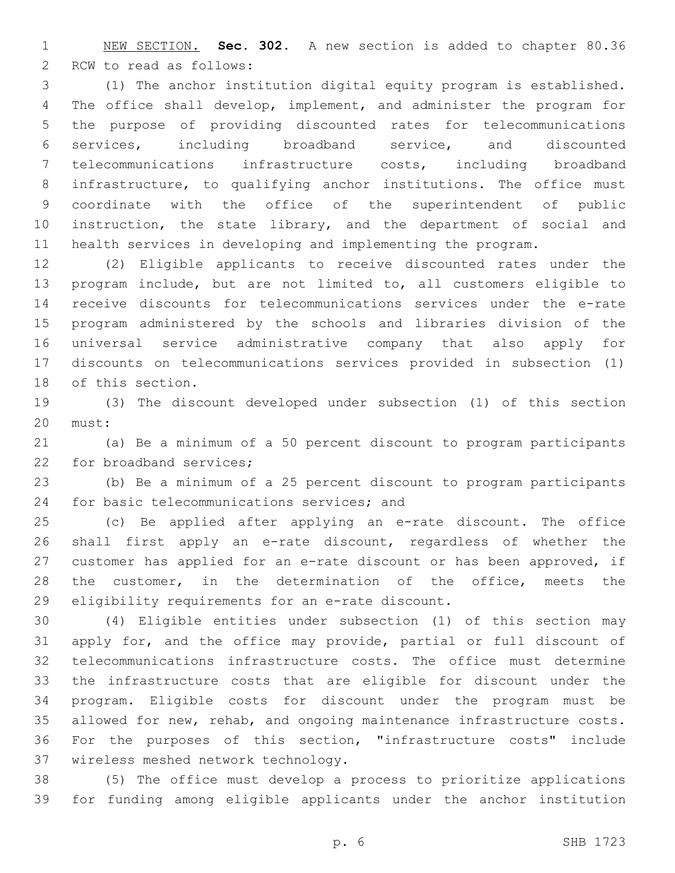NEW SECTION. **Sec. 302.** A new section is added to chapter 80.36 2 RCW to read as follows:

 (1) The anchor institution digital equity program is established. The office shall develop, implement, and administer the program for the purpose of providing discounted rates for telecommunications services, including broadband service, and discounted telecommunications infrastructure costs, including broadband infrastructure, to qualifying anchor institutions. The office must coordinate with the office of the superintendent of public instruction, the state library, and the department of social and health services in developing and implementing the program.

 (2) Eligible applicants to receive discounted rates under the program include, but are not limited to, all customers eligible to receive discounts for telecommunications services under the e-rate program administered by the schools and libraries division of the universal service administrative company that also apply for discounts on telecommunications services provided in subsection (1) 18 of this section.

 (3) The discount developed under subsection (1) of this section 20 must:

 (a) Be a minimum of a 50 percent discount to program participants 22 for broadband services;

 (b) Be a minimum of a 25 percent discount to program participants 24 for basic telecommunications services; and

 (c) Be applied after applying an e-rate discount. The office shall first apply an e-rate discount, regardless of whether the customer has applied for an e-rate discount or has been approved, if 28 the customer, in the determination of the office, meets the 29 eligibility requirements for an e-rate discount.

 (4) Eligible entities under subsection (1) of this section may apply for, and the office may provide, partial or full discount of telecommunications infrastructure costs. The office must determine the infrastructure costs that are eligible for discount under the program. Eligible costs for discount under the program must be allowed for new, rehab, and ongoing maintenance infrastructure costs. For the purposes of this section, "infrastructure costs" include 37 wireless meshed network technology.

 (5) The office must develop a process to prioritize applications for funding among eligible applicants under the anchor institution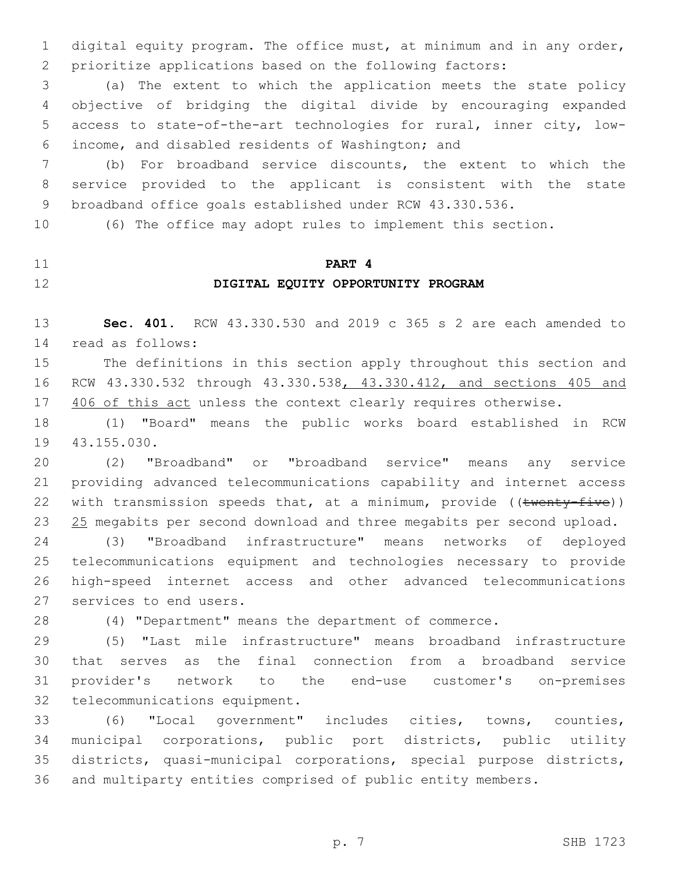digital equity program. The office must, at minimum and in any order, prioritize applications based on the following factors:

 (a) The extent to which the application meets the state policy objective of bridging the digital divide by encouraging expanded access to state-of-the-art technologies for rural, inner city, lowincome, and disabled residents of Washington; and6

 (b) For broadband service discounts, the extent to which the service provided to the applicant is consistent with the state broadband office goals established under RCW 43.330.536.

(6) The office may adopt rules to implement this section.

# **PART 4 DIGITAL EQUITY OPPORTUNITY PROGRAM**

 **Sec. 401.** RCW 43.330.530 and 2019 c 365 s 2 are each amended to read as follows:14

 The definitions in this section apply throughout this section and RCW 43.330.532 through 43.330.538, 43.330.412, and sections 405 and 17 406 of this act unless the context clearly requires otherwise.

 (1) "Board" means the public works board established in RCW 19 43.155.030.

 (2) "Broadband" or "broadband service" means any service providing advanced telecommunications capability and internet access 22 with transmission speeds that, at a minimum, provide  $((\text{twenty-fitve}))$ 23 25 megabits per second download and three megabits per second upload.

 (3) "Broadband infrastructure" means networks of deployed telecommunications equipment and technologies necessary to provide high-speed internet access and other advanced telecommunications 27 services to end users.

(4) "Department" means the department of commerce.

 (5) "Last mile infrastructure" means broadband infrastructure that serves as the final connection from a broadband service provider's network to the end-use customer's on-premises 32 telecommunications equipment.

 (6) "Local government" includes cities, towns, counties, municipal corporations, public port districts, public utility districts, quasi-municipal corporations, special purpose districts, and multiparty entities comprised of public entity members.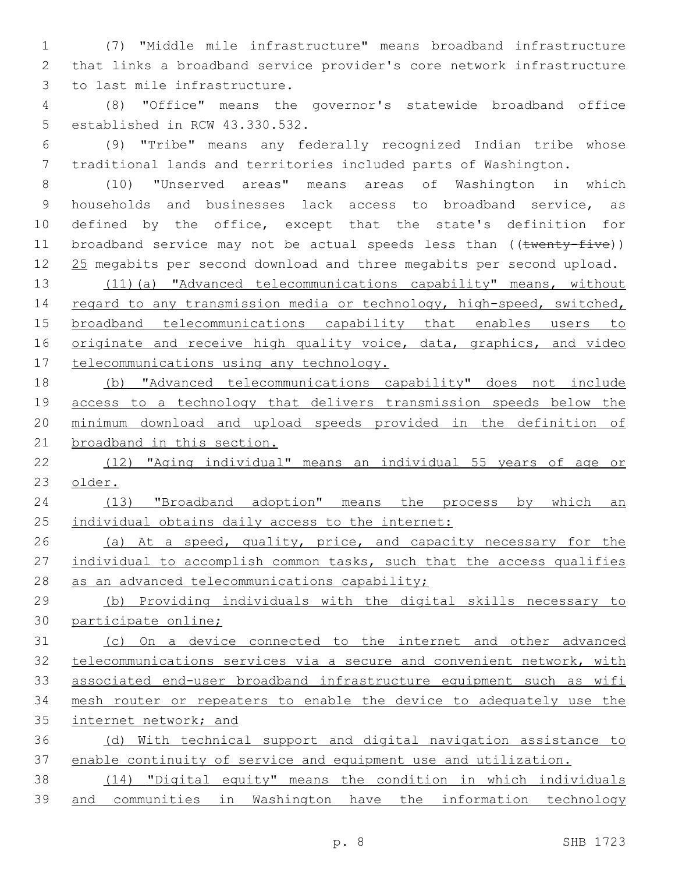(7) "Middle mile infrastructure" means broadband infrastructure that links a broadband service provider's core network infrastructure 3 to last mile infrastructure.

 (8) "Office" means the governor's statewide broadband office 5 established in RCW 43.330.532.

 (9) "Tribe" means any federally recognized Indian tribe whose traditional lands and territories included parts of Washington.

 (10) "Unserved areas" means areas of Washington in which households and businesses lack access to broadband service, as defined by the office, except that the state's definition for 11 broadband service may not be actual speeds less than ((twenty-five)) 12 25 megabits per second download and three megabits per second upload.

 (11)(a) "Advanced telecommunications capability" means, without 14 regard to any transmission media or technology, high-speed, switched, broadband telecommunications capability that enables users to 16 originate and receive high quality voice, data, graphics, and video 17 telecommunications using any technology.

 (b) "Advanced telecommunications capability" does not include access to a technology that delivers transmission speeds below the minimum download and upload speeds provided in the definition of broadband in this section.

 (12) "Aging individual" means an individual 55 years of age or older.

 (13) "Broadband adoption" means the process by which an 25 individual obtains daily access to the internet:

26 (a) At a speed, quality, price, and capacity necessary for the 27 individual to accomplish common tasks, such that the access qualifies 28 as an advanced telecommunications capability;

 (b) Providing individuals with the digital skills necessary to participate online;

 (c) On a device connected to the internet and other advanced telecommunications services via a secure and convenient network, with associated end-user broadband infrastructure equipment such as wifi mesh router or repeaters to enable the device to adequately use the internet network; and

 (d) With technical support and digital navigation assistance to enable continuity of service and equipment use and utilization.

 (14) "Digital equity" means the condition in which individuals and communities in Washington have the information technology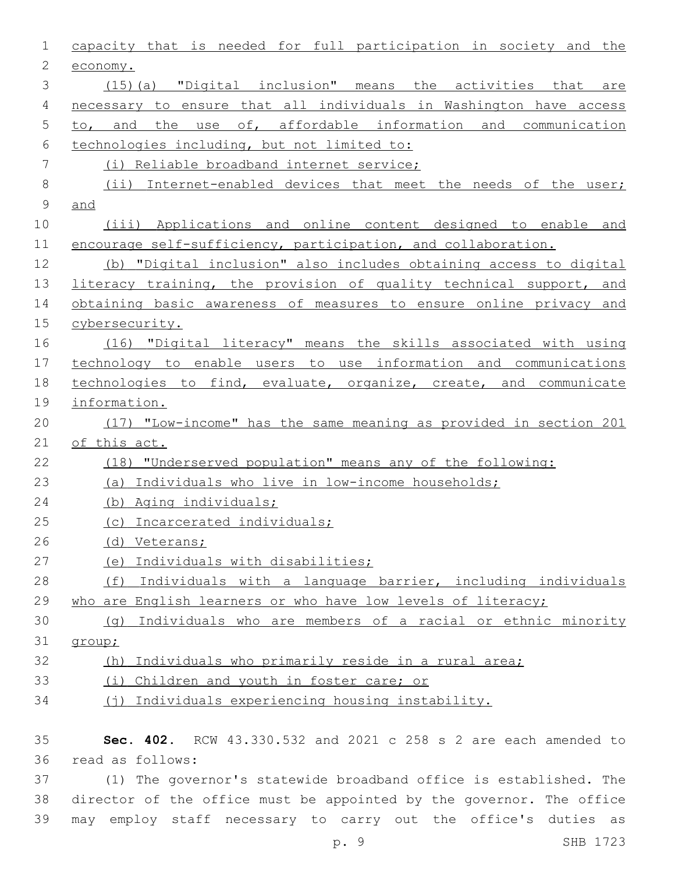| $\mathbf 1$ | capacity that is needed for full participation in society and the  |
|-------------|--------------------------------------------------------------------|
| 2           | economy.                                                           |
| 3           | (15)(a) "Digital inclusion" means the activities that are          |
| 4           | necessary to ensure that all individuals in Washington have access |
| 5           | to, and the use of, affordable information and communication       |
| 6           | technologies including, but not limited to:                        |
| 7           | (i) Reliable broadband internet service;                           |
| $\,8\,$     | (ii) Internet-enabled devices that meet the needs of the user;     |
| $\mathsf 9$ | and                                                                |
| 10          | (iii) Applications and online content designed to enable and       |
| 11          | encourage self-sufficiency, participation, and collaboration.      |
| 12          | (b) "Digital inclusion" also includes obtaining access to digital  |
| 13          | literacy training, the provision of quality technical support, and |
| 14          | obtaining basic awareness of measures to ensure online privacy and |
| 15          | cybersecurity.                                                     |
| 16          | (16) "Digital literacy" means the skills associated with using     |
| 17          | technology to enable users to use information and communications   |
| 18          | technologies to find, evaluate, organize, create, and communicate  |
| 19          | information.                                                       |
| 20          | (17) "Low-income" has the same meaning as provided in section 201  |
| 21          | of this act.                                                       |
| 22          | (18) "Underserved population" means any of the following:          |
| 23          | (a) Individuals who live in low-income households;                 |
| 24          | (b) Aging individuals;                                             |
| 25          | (c) Incarcerated individuals;                                      |
| 26          | (d) Veterans;                                                      |
| 27          | Individuals with disabilities;<br>(e)                              |
| 28          | (f) Individuals with a language barrier, including individuals     |
| 29          | who are English learners or who have low levels of literacy;       |
| 30          | (q) Individuals who are members of a racial or ethnic minority     |
| 31          | group;                                                             |
| 32          | Individuals who primarily reside in a rural area;<br>(h)           |
| 33          | (i) Children and youth in foster care; or                          |
| 34          | (j) Individuals experiencing housing instability.                  |
| 35          | Sec. 402. RCW 43.330.532 and 2021 c 258 s 2 are each amended to    |
| 36          | read as follows:                                                   |
| $\cap$      |                                                                    |

 (1) The governor's statewide broadband office is established. The director of the office must be appointed by the governor. The office may employ staff necessary to carry out the office's duties as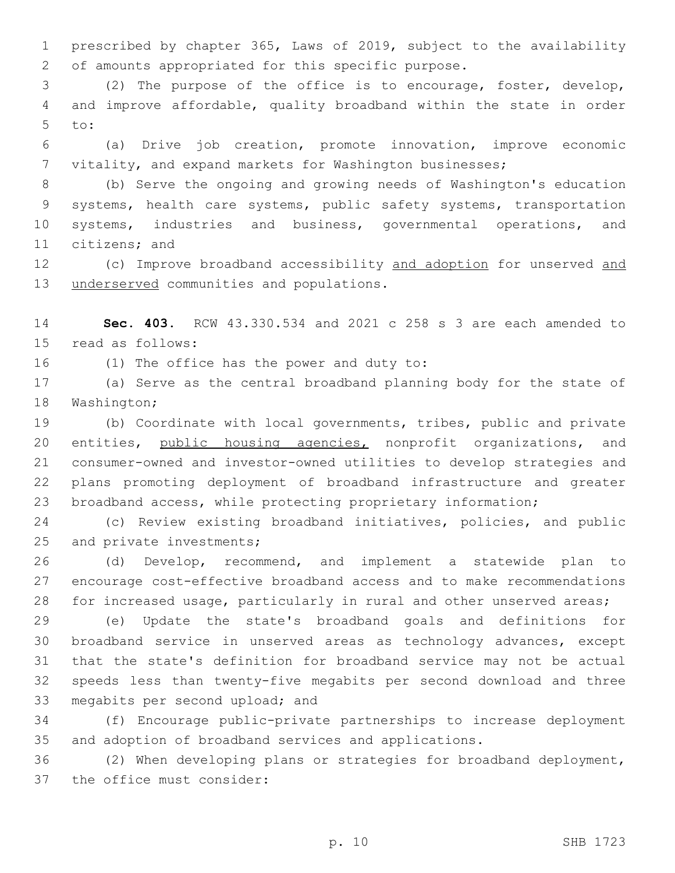prescribed by chapter 365, Laws of 2019, subject to the availability 2 of amounts appropriated for this specific purpose.

 (2) The purpose of the office is to encourage, foster, develop, and improve affordable, quality broadband within the state in order to:5

 (a) Drive job creation, promote innovation, improve economic vitality, and expand markets for Washington businesses;

 (b) Serve the ongoing and growing needs of Washington's education systems, health care systems, public safety systems, transportation systems, industries and business, governmental operations, and 11 citizens; and

12 (c) Improve broadband accessibility and adoption for unserved and 13 underserved communities and populations.

 **Sec. 403.** RCW 43.330.534 and 2021 c 258 s 3 are each amended to 15 read as follows:

16 (1) The office has the power and duty to:

 (a) Serve as the central broadband planning body for the state of 18 Washington;

 (b) Coordinate with local governments, tribes, public and private 20 entities, public housing agencies, nonprofit organizations, and consumer-owned and investor-owned utilities to develop strategies and plans promoting deployment of broadband infrastructure and greater broadband access, while protecting proprietary information;

 (c) Review existing broadband initiatives, policies, and public 25 and private investments;

 (d) Develop, recommend, and implement a statewide plan to encourage cost-effective broadband access and to make recommendations for increased usage, particularly in rural and other unserved areas;

 (e) Update the state's broadband goals and definitions for broadband service in unserved areas as technology advances, except that the state's definition for broadband service may not be actual speeds less than twenty-five megabits per second download and three 33 megabits per second upload; and

 (f) Encourage public-private partnerships to increase deployment and adoption of broadband services and applications.

 (2) When developing plans or strategies for broadband deployment, 37 the office must consider: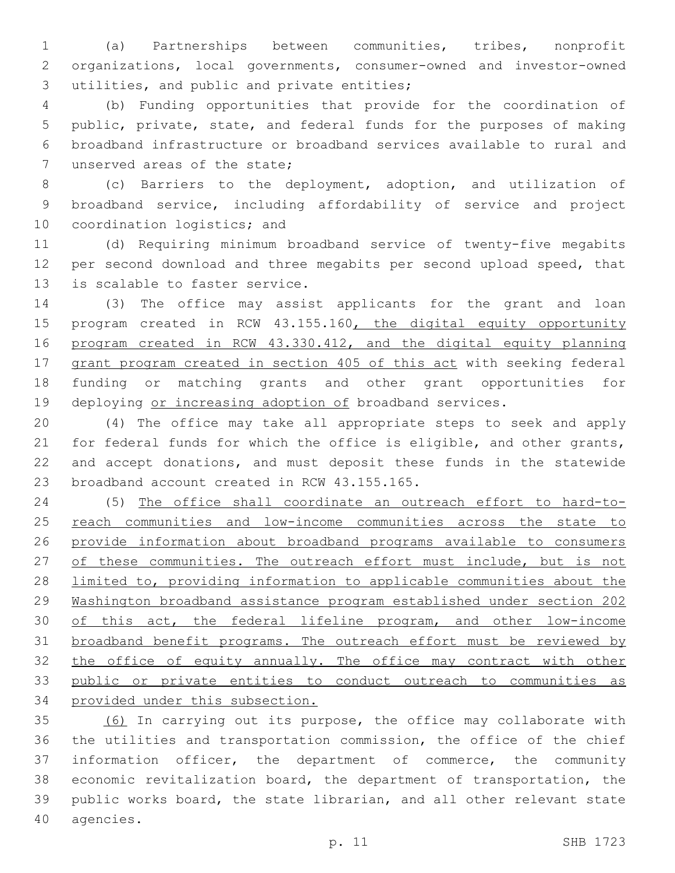(a) Partnerships between communities, tribes, nonprofit organizations, local governments, consumer-owned and investor-owned 3 utilities, and public and private entities;

 (b) Funding opportunities that provide for the coordination of public, private, state, and federal funds for the purposes of making broadband infrastructure or broadband services available to rural and 7 unserved areas of the state;

 (c) Barriers to the deployment, adoption, and utilization of broadband service, including affordability of service and project 10 coordination logistics; and

 (d) Requiring minimum broadband service of twenty-five megabits per second download and three megabits per second upload speed, that 13 is scalable to faster service.

 (3) The office may assist applicants for the grant and loan 15 program created in RCW 43.155.160, the digital equity opportunity program created in RCW 43.330.412, and the digital equity planning 17 grant program created in section 405 of this act with seeking federal funding or matching grants and other grant opportunities for 19 deploying or increasing adoption of broadband services.

 (4) The office may take all appropriate steps to seek and apply for federal funds for which the office is eligible, and other grants, and accept donations, and must deposit these funds in the statewide 23 broadband account created in RCW 43.155.165.

 (5) The office shall coordinate an outreach effort to hard-to-25 reach communities and low-income communities across the state to provide information about broadband programs available to consumers 27 of these communities. The outreach effort must include, but is not limited to, providing information to applicable communities about the Washington broadband assistance program established under section 202 30 of this act, the federal lifeline program, and other low-income broadband benefit programs. The outreach effort must be reviewed by 32 the office of equity annually. The office may contract with other public or private entities to conduct outreach to communities as provided under this subsection.

 (6) In carrying out its purpose, the office may collaborate with the utilities and transportation commission, the office of the chief information officer, the department of commerce, the community economic revitalization board, the department of transportation, the public works board, the state librarian, and all other relevant state 40 agencies.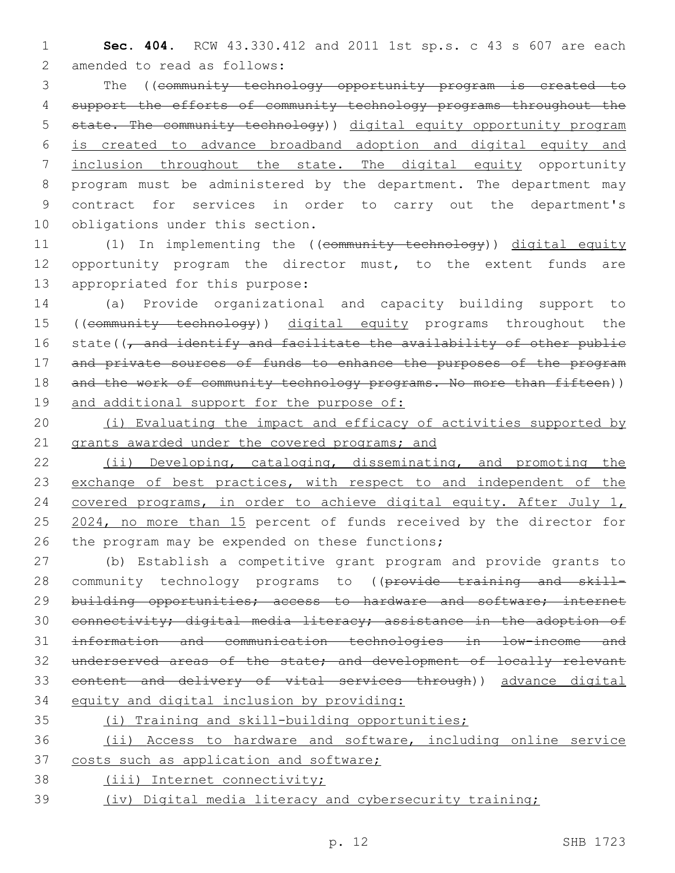1 **Sec. 404.** RCW 43.330.412 and 2011 1st sp.s. c 43 s 607 are each 2 amended to read as follows:

 The ((community technology opportunity program is created to support the efforts of community technology programs throughout the state. The community technology)) digital equity opportunity program is created to advance broadband adoption and digital equity and 7 inclusion throughout the state. The digital equity opportunity program must be administered by the department. The department may contract for services in order to carry out the department's 10 obligations under this section.

11 (1) In implementing the ((community technology)) digital equity 12 opportunity program the director must, to the extent funds are 13 appropriated for this purpose:

14 (a) Provide organizational and capacity building support to 15 ((community technology)) digital equity programs throughout the 16 state((, and identify and facilitate the availability of other public 17 and private sources of funds to enhance the purposes of the program 18 and the work of community technology programs. No more than fifteen)) 19 and additional support for the purpose of:

20 (i) Evaluating the impact and efficacy of activities supported by 21 grants awarded under the covered programs; and

22 (ii) Developing, cataloging, disseminating, and promoting the 23 exchange of best practices, with respect to and independent of the 24 covered programs, in order to achieve digital equity. After July 1, 25 2024, no more than 15 percent of funds received by the director for 26 the program may be expended on these functions;

 (b) Establish a competitive grant program and provide grants to 28 community technology programs to ((provide training and skill-29 building opportunities; access to hardware and software; internet connectivity; digital media literacy; assistance in the adoption of information and communication technologies in low-income and underserved areas of the state; and development of locally relevant content and delivery of vital services through)) advance digital equity and digital inclusion by providing:

 (i) Training and skill-building opportunities; (ii) Access to hardware and software, including online service 37 costs such as application and software; (iii) Internet connectivity;

39 (iv) Digital media literacy and cybersecurity training;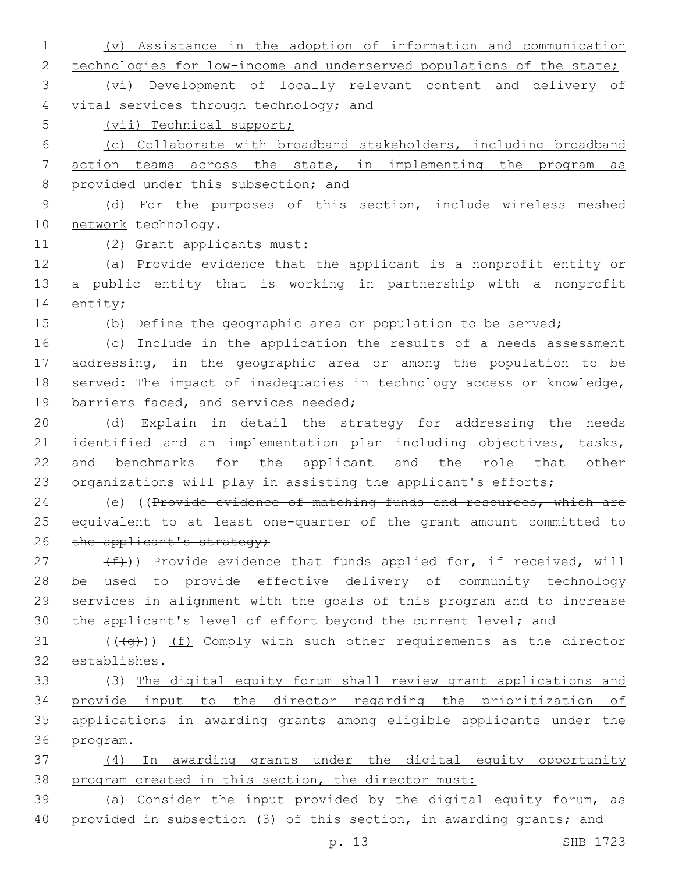(v) Assistance in the adoption of information and communication 2 technologies for low-income and underserved populations of the state; (vi) Development of locally relevant content and delivery of vital services through technology; and (vii) Technical support; (c) Collaborate with broadband stakeholders, including broadband action teams across the state, in implementing the program as 8 provided under this subsection; and (d) For the purposes of this section, include wireless meshed 10 network technology. 11 (2) Grant applicants must: (a) Provide evidence that the applicant is a nonprofit entity or a public entity that is working in partnership with a nonprofit 14 entity; (b) Define the geographic area or population to be served; (c) Include in the application the results of a needs assessment addressing, in the geographic area or among the population to be 18 served: The impact of inadequacies in technology access or knowledge, 19 barriers faced, and services needed; (d) Explain in detail the strategy for addressing the needs 21 identified and an implementation plan including objectives, tasks, and benchmarks for the applicant and the role that other organizations will play in assisting the applicant's efforts; 24 (e) ((Provide evidence of matching funds and resources, which are equivalent to at least one-quarter of the grant amount committed to 26 the applicant's strategy;  $(f)$ ) Provide evidence that funds applied for, if received, will be used to provide effective delivery of community technology services in alignment with the goals of this program and to increase the applicant's level of effort beyond the current level; and  $((+g+))$  (f) Comply with such other requirements as the director establishes.32 (3) The digital equity forum shall review grant applications and provide input to the director regarding the prioritization of applications in awarding grants among eligible applicants under the program. (4) In awarding grants under the digital equity opportunity program created in this section, the director must: (a) Consider the input provided by the digital equity forum, as provided in subsection (3) of this section, in awarding grants; and

p. 13 SHB 1723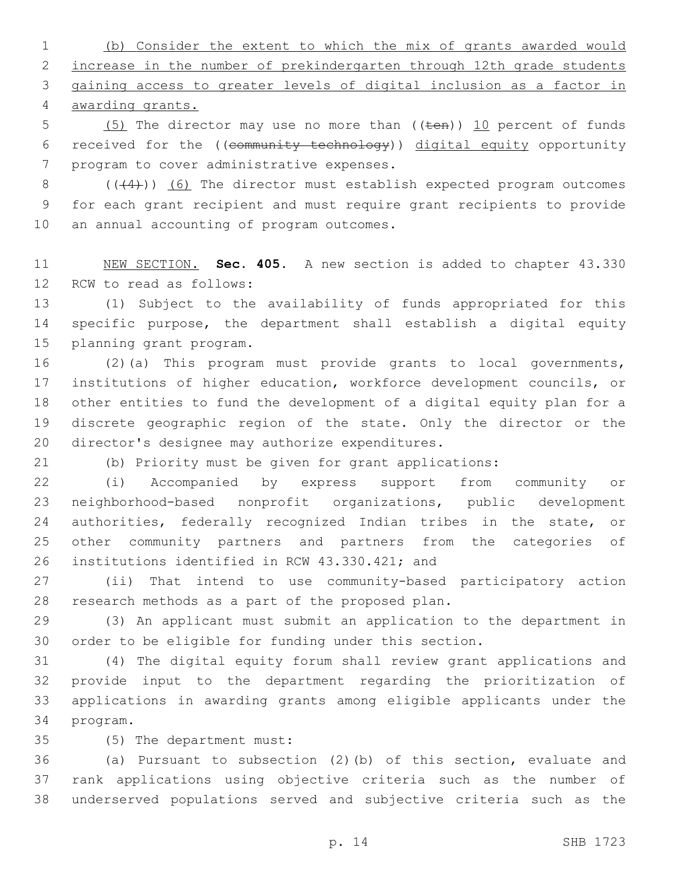(b) Consider the extent to which the mix of grants awarded would increase in the number of prekindergarten through 12th grade students gaining access to greater levels of digital inclusion as a factor in awarding grants.

5  $(5)$  The director may use no more than  $((\text{ten}))$  10 percent of funds received for the ((community technology)) digital equity opportunity 7 program to cover administrative expenses.

 ( $(4)$ )) (6) The director must establish expected program outcomes for each grant recipient and must require grant recipients to provide 10 an annual accounting of program outcomes.

 NEW SECTION. **Sec. 405.** A new section is added to chapter 43.330 12 RCW to read as follows:

 (1) Subject to the availability of funds appropriated for this specific purpose, the department shall establish a digital equity 15 planning grant program.

 (2)(a) This program must provide grants to local governments, institutions of higher education, workforce development councils, or other entities to fund the development of a digital equity plan for a discrete geographic region of the state. Only the director or the 20 director's designee may authorize expenditures.

(b) Priority must be given for grant applications:

 (i) Accompanied by express support from community or neighborhood-based nonprofit organizations, public development 24 authorities, federally recognized Indian tribes in the state, or other community partners and partners from the categories of 26 institutions identified in RCW 43.330.421; and

 (ii) That intend to use community-based participatory action 28 research methods as a part of the proposed plan.

 (3) An applicant must submit an application to the department in order to be eligible for funding under this section.

 (4) The digital equity forum shall review grant applications and provide input to the department regarding the prioritization of applications in awarding grants among eligible applicants under the 34 program.

(5) The department must:35

 (a) Pursuant to subsection (2)(b) of this section, evaluate and rank applications using objective criteria such as the number of underserved populations served and subjective criteria such as the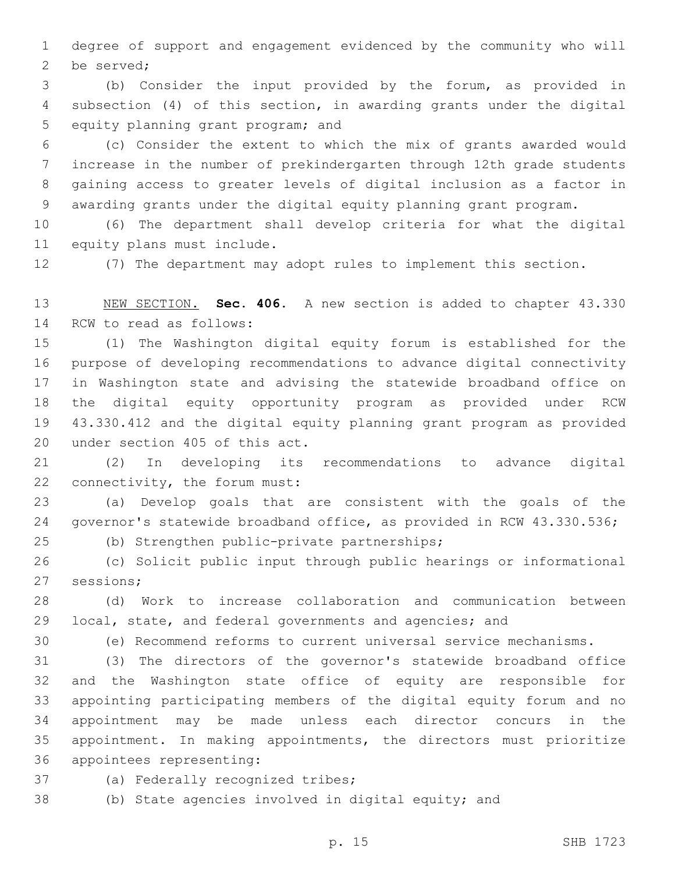degree of support and engagement evidenced by the community who will 2 be served;

 (b) Consider the input provided by the forum, as provided in subsection (4) of this section, in awarding grants under the digital 5 equity planning grant program; and

 (c) Consider the extent to which the mix of grants awarded would increase in the number of prekindergarten through 12th grade students gaining access to greater levels of digital inclusion as a factor in awarding grants under the digital equity planning grant program.

 (6) The department shall develop criteria for what the digital 11 equity plans must include.

(7) The department may adopt rules to implement this section.

 NEW SECTION. **Sec. 406.** A new section is added to chapter 43.330 14 RCW to read as follows:

 (1) The Washington digital equity forum is established for the purpose of developing recommendations to advance digital connectivity in Washington state and advising the statewide broadband office on the digital equity opportunity program as provided under RCW 43.330.412 and the digital equity planning grant program as provided 20 under section 405 of this act.

 (2) In developing its recommendations to advance digital 22 connectivity, the forum must:

 (a) Develop goals that are consistent with the goals of the governor's statewide broadband office, as provided in RCW 43.330.536;

(b) Strengthen public-private partnerships;25

 (c) Solicit public input through public hearings or informational 27 sessions;

 (d) Work to increase collaboration and communication between local, state, and federal governments and agencies; and

(e) Recommend reforms to current universal service mechanisms.

 (3) The directors of the governor's statewide broadband office and the Washington state office of equity are responsible for appointing participating members of the digital equity forum and no appointment may be made unless each director concurs in the appointment. In making appointments, the directors must prioritize 36 appointees representing:

37 (a) Federally recognized tribes;

(b) State agencies involved in digital equity; and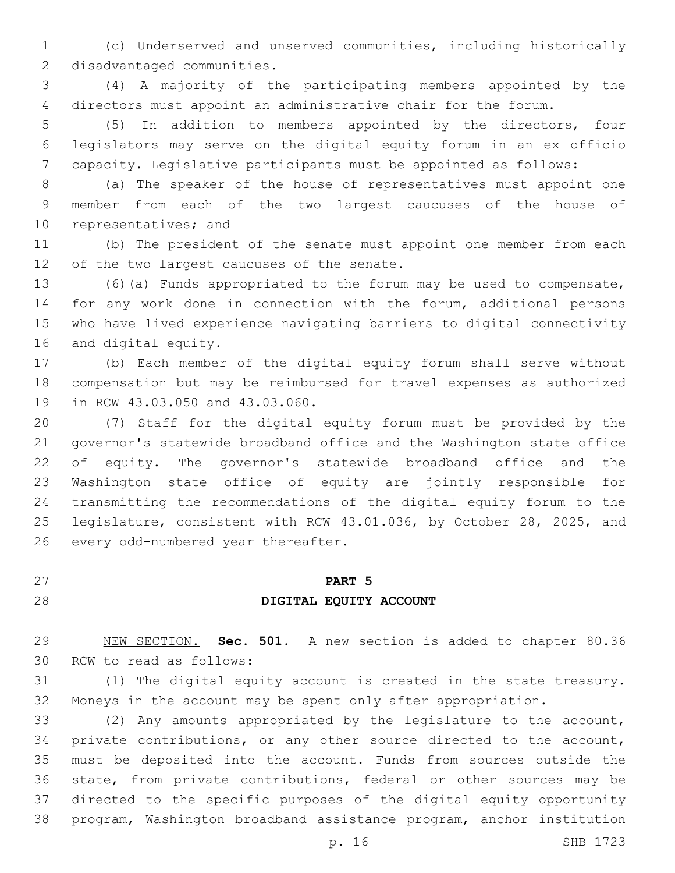(c) Underserved and unserved communities, including historically 2 disadvantaged communities.

 (4) A majority of the participating members appointed by the directors must appoint an administrative chair for the forum.

 (5) In addition to members appointed by the directors, four legislators may serve on the digital equity forum in an ex officio capacity. Legislative participants must be appointed as follows:

 (a) The speaker of the house of representatives must appoint one member from each of the two largest caucuses of the house of 10 representatives; and

 (b) The president of the senate must appoint one member from each 12 of the two largest caucuses of the senate.

 (6)(a) Funds appropriated to the forum may be used to compensate, for any work done in connection with the forum, additional persons who have lived experience navigating barriers to digital connectivity 16 and digital equity.

 (b) Each member of the digital equity forum shall serve without compensation but may be reimbursed for travel expenses as authorized 19 in RCW 43.03.050 and 43.03.060.

 (7) Staff for the digital equity forum must be provided by the governor's statewide broadband office and the Washington state office of equity. The governor's statewide broadband office and the Washington state office of equity are jointly responsible for transmitting the recommendations of the digital equity forum to the legislature, consistent with RCW 43.01.036, by October 28, 2025, and 26 every odd-numbered year thereafter.

# **PART 5**

## **DIGITAL EQUITY ACCOUNT**

 NEW SECTION. **Sec. 501.** A new section is added to chapter 80.36 30 RCW to read as follows:

 (1) The digital equity account is created in the state treasury. Moneys in the account may be spent only after appropriation.

 (2) Any amounts appropriated by the legislature to the account, private contributions, or any other source directed to the account, must be deposited into the account. Funds from sources outside the state, from private contributions, federal or other sources may be directed to the specific purposes of the digital equity opportunity program, Washington broadband assistance program, anchor institution